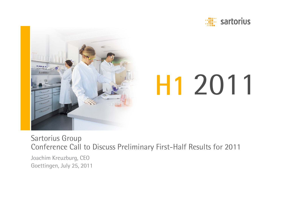



# H1 2011

Sartorius Group Conference Call to Discuss Preliminary First-Half Results for 2011

Joachim Kreuzburg, CEO Goettingen, July 25, 2011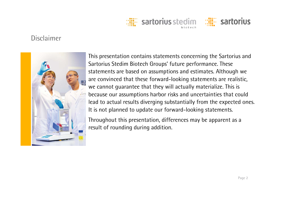

## **Disclaimer**



This presentation contains statements concerning the Sartorius and Sartorius Stedim Biotech Groups' future performance. These statements are based on assumptions and estimates. Although we are convinced that these forward-looking statements are realistic, we cannot guarantee that they will actually materialize. This is because our assumptions harbor risks and uncertainties that could lead to actual results diverging substantially from the expected ones. It is not planned to update our forward-looking statements.

Throughout this presentation, differences may be apparent as a result of rounding during addition.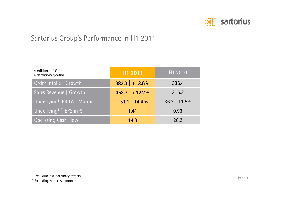

# Sartorius Group's Performance in H1 2011

| In millions of $\epsilon$<br>unless otherwise specified | H1 2011          | H1 2010        |
|---------------------------------------------------------|------------------|----------------|
| Order Intake   Growth                                   | $382.3$ + 13.6 % | 336.4          |
| Sales Revenue   Growth                                  | $353.7$ + 12.2%  | 315.2          |
| Underlying <sup>1)</sup> EBITA   Margin                 | $51.1$   14.4%   | $36.3$   11.5% |
| Underlying <sup>1)2)</sup> EPS in $\epsilon$            | 1.41             | 0.93           |
| <b>Operating Cash Flow</b>                              | 14.3             | 28.2           |

<sup>1)</sup> Excluding extraordinary effects

2) Excluding non-cash amortization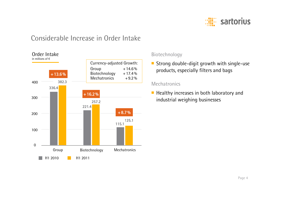

## Considerable Increase in Order Intake



#### Biotechnology

■ Strong double-digit growth with single-use products, especially filters and bags

#### **Mechatronics**

■ Healthy increases in both laboratory and industrial weighing businesses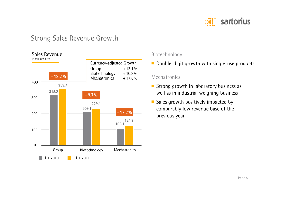

## Strong Sales Revenue Growth



#### Biotechnology

■ Double-digit growth with single-use products

#### **Mechatronics**

- Strong growth in laboratory business as well as in industrial weighing business
- Sales growth positively impacted by comparably low revenue base of the previous year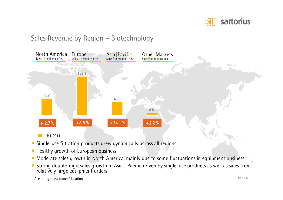

## Sales Revenue by Region – Biotechnology



- ■Single-use filtration products grew dynamically across all regions
- Healthy growth of European business
- Moderate sales growth in North America, mainly due to some fluctuations in equipment business
- Strong double-digit sales growth in Asia | Pacific driven by single-use products as well as sales from relatively large equipment orders

<sup>1)</sup> According to customers' location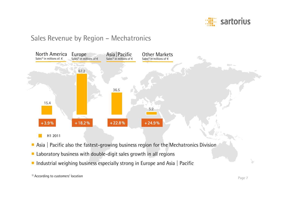

### Sales Revenue by Region – Mechatronics



■ Industrial weighing business especially strong in Europe and Asia | Pacific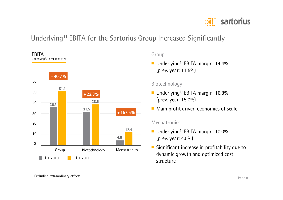

# Underlying<sup>1)</sup> EBITA for the Sartorius Group Increased Significantly



#### Group

■ Underlying<sup>1)</sup> EBITA margin: 14.4% (prev. year: 11.5%)

#### Biotechnology

- Underlying<sup>1)</sup> EBITA margin: 16.8% (prev. year: 15.0%)
- Main profit driver: economies of scale

#### Mechatronics

- Underlying<sup>1)</sup> EBITA margin: 10.0% (prev. year: 4.5%)
- ■ Significant increase in profitability due to dynamic growth and optimized cost structure

<sup>1)</sup> Excluding extraordinary effects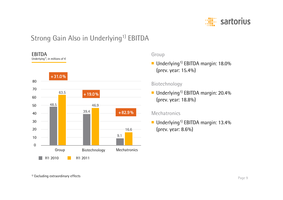

# Strong Gain Also in Underlying<sup>1)</sup> EBITDA



#### Group

■ Underlying<sup>1)</sup> EBITDA margin: 18.0% (prev. year: 15.4%)

#### Biotechnology

■ Underlying<sup>1)</sup> EBITDA margin: 20.4% (prev. year: 18.8%)

#### **Mechatronics**

■ Underlying<sup>1)</sup> EBITDA margin: 13.4% (prev. year: 8.6%)

<sup>1)</sup> Excluding extraordinary effects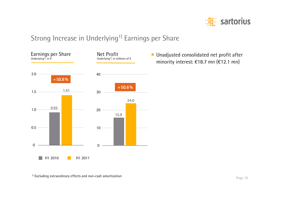

# Strong Increase in Underlying<sup>1)</sup> Earnings per Share



■ Unadjusted consolidated net profit after minority interest: €18.7 mn (€12.1 mn)

<sup>1)</sup> Excluding extraordinary effects and non-cash amortization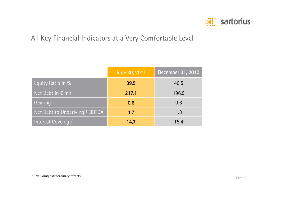

# All Key Financial Indicators at a Very Comfortable Level

|                                             | June 30, 2011 | December 31, 2010 |
|---------------------------------------------|---------------|-------------------|
| Equity Ratio in %                           | 39.9          | 40.5              |
| Net Debt in $\epsilon$ mn                   | 217.1         | 196.9             |
| Gearing                                     | 0.6           | 0.6               |
| Net Debt to Underlying <sup>1)</sup> EBITDA | 1.7           | 1.8               |
| Interest Coverage <sup>1)</sup>             | 14.7          | 15.4              |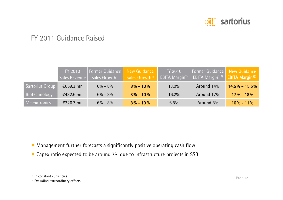

## FY 2011 Guidance Raised

|                     | FY 2010<br>Sales Revenue | Former Guidance<br>Sales Growth <sup>1)</sup> | New Guidance<br>Sales Growth <sup>1)</sup> | FY 2010<br><b>EBITA Margin<sup>2)</sup></b> | Former Guidance New Guidance<br><b>EBITA Margin<sup>1)2)</sup> EBITA Margin<sup>1)2)</sup></b> |                   |
|---------------------|--------------------------|-----------------------------------------------|--------------------------------------------|---------------------------------------------|------------------------------------------------------------------------------------------------|-------------------|
| Sartorius Group     | €659.3 mn                | $6\% - 8\%$                                   | $8\% - 10\%$                               | 13.0%                                       | Around 14%                                                                                     | $14.5\% - 15.5\%$ |
| Biotechnology       | $£432.6$ mn              | $6\% - 8\%$                                   | $8\% - 10\%$                               | 16.2%                                       | Around 17%                                                                                     | $17\% - 18\%$     |
| <b>Mechatronics</b> | €226.7 mn                | $6\% - 8\%$                                   | $8\% - 10\%$                               | $6.8\%$                                     | Around 8%                                                                                      | $10\% - 11\%$     |

■ Management further forecasts a significantly positive operating cash flow

■ Capex ratio expected to be around 7% due to infrastructure projects in SSB

<sup>&</sup>lt;sup>1)</sup> In constant currencies

<sup>&</sup>lt;sup>2)</sup> Excluding extraordinary effects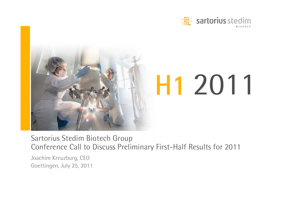



Sartorius Stedim Biotech Group Conference Call to Discuss Preliminary First-Half Results for 2011

Joachim Kreuzburg, CEO Goettingen, July 25, 2011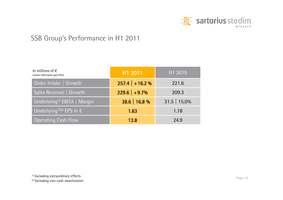

## SSB Group's Performance in H1 2011

| In millions of $\epsilon$<br>unless otherwise specified | H1 2011          | H1 2010        |  |
|---------------------------------------------------------|------------------|----------------|--|
| Order Intake   Growth                                   | $257.4$ + 16.2 % | 221.6          |  |
| Sales Revenue   Growth                                  | $229.6$ +9.7%    | 209.3          |  |
| Underlying <sup>1)</sup> EBITA   Margin                 | 38.6   16.8 %    | $31.5$   15.0% |  |
| Underlying <sup>1)2)</sup> EPS in $\epsilon$            | 1.63             | 1.18           |  |
| <b>Operating Cash Flow</b>                              | 13.8             | 24.9           |  |

<sup>1)</sup> Excluding extraordinary effects

2) Excluding non-cash amortization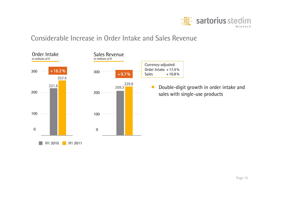

### Considerable Increase in Order Intake and Sales Revenue

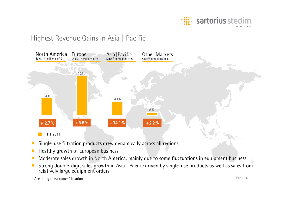

# Highest Revenue Gains in Asia | Pacific



- ■Single-use filtration products grew dynamically across all regions
- ■Healthy growth of European business
- Moderate sales growth in North America, mainly due to some fluctuations in equipment business
- ■ Strong double-digit sales growth in Asia | Pacific driven by single-use products as well as sales from relatively large equipment orders

<sup>1)</sup> According to customers' location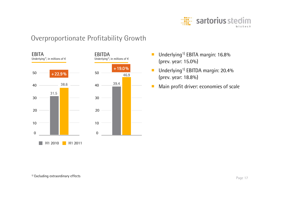

## Overproportionate Profitability Growth



- Underlying<sup>1)</sup> EBITA margin: 16.8% (prev. year: 15.0%)
- ■Underlying<sup>1)</sup> EBITDA margin: 20.4% (prev. year: 18.8%)
- ■Main profit driver: economies of scale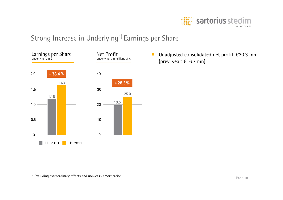

# Strong Increase in Underlying<sup>1)</sup> Earnings per Share



 Unadjusted consolidated net profit: €20.3 mn (prev. year: €16.7 mn)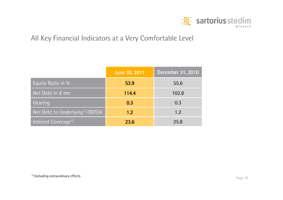

## All Key Financial Indicators at a Very Comfortable Level

|                                                                  | June 30, 2011 | December 31, 2010 |
|------------------------------------------------------------------|---------------|-------------------|
| Equity Ratio in %                                                | 53.9          | 55.6              |
| $\overline{\phantom{a}}$ Net Debt in $\overline{\varepsilon}$ mn | 114.4         | 102.8             |
| Gearing                                                          | 0.3           | 0.3               |
| Net Debt to Underlying <sup>1)</sup> EBITDA                      | 1.2           | 1.2               |
| Interest Coverage <sup>1)</sup>                                  | 23.6          | 25.8              |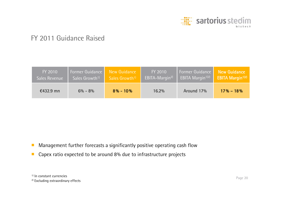

## FY 2011 Guidance Raised

| FY 2010              | Former Guidance            | New Guidance               | FY 2010                    | <b>Former Guidance</b>              | <b>New Guidance</b>                 |
|----------------------|----------------------------|----------------------------|----------------------------|-------------------------------------|-------------------------------------|
| <b>Sales Revenue</b> | Sales Growth <sup>1)</sup> | Sales Growth <sup>1)</sup> | EBITA-Margin <sup>2)</sup> | <b>EBITA Margin</b> <sup>1)2)</sup> | <b>EBITA Margin</b> <sup>1)2)</sup> |
| $£432.9$ mn          | $6\% - 8\%$                | $8\% - 10\%$               | $16.2\%$                   | Around 17%                          | $17\% - 18\%$                       |

- ■Management further forecasts a significantly positive operating cash flow
- ■Capex ratio expected to be around 8% due to infrastructure projects

<sup>&</sup>lt;sup>1)</sup> In constant currencies

<sup>&</sup>lt;sup>2)</sup> Excluding extraordinary effects